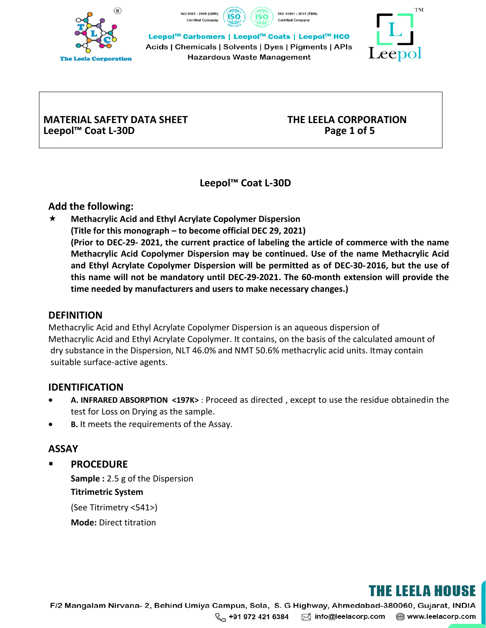





Leepol<sup>™</sup> Carbomers | Leepol<sup>™</sup> Coats | Leepol™ HCO

Acids | Chemicals | Solvents | Dyes | Pigments | APIs Hazardous Waste Management



### **MATERIAL SAFETY DATA SHEET THE LEELA CORPORATION Leepol™ Coat L-30D Page 1 of 5**

**Leepol™ Coat L-30D** 

### **Add the following:**

 **Methacrylic Acid and Ethyl Acrylate Copolymer Dispersion (Title for this monograph – to become official DEC 29, 2021) (Prior to DEC-29- 2021, the current practice of labeling the article of commerce with the name Methacrylic Acid Copolymer Dispersion may be continued. Use of the name Methacrylic Acid and Ethyl Acrylate Copolymer Dispersion will be permitted as of DEC-30- 2016, but the use of this name will not be mandatory until DEC-29-2021. The 60-month extension will provide the time needed by manufacturers and users to make necessary changes.)**

### **DEFINITION**

Methacrylic Acid and Ethyl Acrylate Copolymer Dispersion is an aqueous dispersion of Methacrylic Acid and Ethyl Acrylate Copolymer. It contains, on the basis of the calculated amount of dry substance in the Dispersion, NLT 46.0% and NMT 50.6% methacrylic acid units. Itmay contain suitable surface-active agents.

### **IDENTIFICATION**

- **A. INFRARED ABSORPTION <197K>** : Proceed as directed , except to use the residue obtainedin the test for Loss on Drying as the sample.
- **B.** It meets the requirements of the Assay.

### **ASSAY**

**PROCEDURE** 

**Sample :** 2.5 g of the Dispersion **Titrimetric System** (See Titrimetry <541>) **Mode:** Direct titration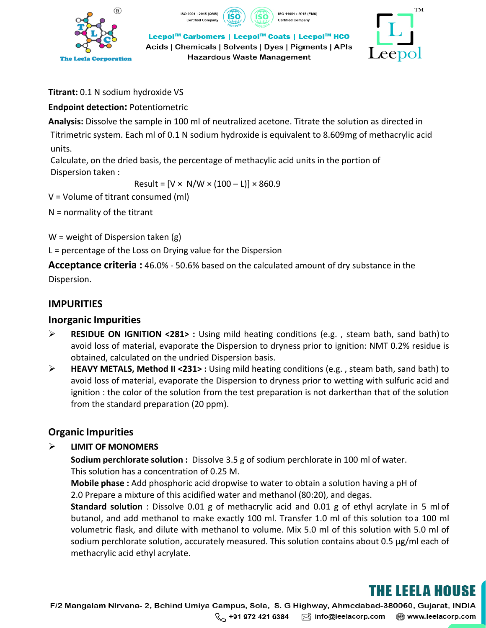

SO 9001: 2015 (QMS) Certified Company







**Titrant:** 0.1 N sodium hydroxide VS

### **Endpoint detection:** Potentiometric

**Analysis:** Dissolve the sample in 100 ml of neutralized acetone. Titrate the solution as directed in Titrimetric system. Each ml of 0.1 N sodium hydroxide is equivalent to 8.609mg of methacrylic acid units.

Calculate, on the dried basis, the percentage of methacylic acid units in the portion of Dispersion taken :

Result =  $[V \times N/W \times (100 - L)] \times 860.9$ 

V = Volume of titrant consumed (ml)

 $N =$  normality of the titrant

 $W =$  weight of Dispersion taken (g)

L = percentage of the Loss on Drying value for the Dispersion

**Acceptance criteria :** 46.0% - 50.6% based on the calculated amount of dry substance in the Dispersion.

### **IMPURITIES**

### **Inorganic Impurities**

- **RESIDUE ON IGNITION <281> :** Using mild heating conditions (e.g. , steam bath, sand bath)to avoid loss of material, evaporate the Dispersion to dryness prior to ignition: NMT 0.2% residue is obtained, calculated on the undried Dispersion basis.
- **HEAVY METALS, Method II <231> :** Using mild heating conditions (e.g. , steam bath, sand bath) to avoid loss of material, evaporate the Dispersion to dryness prior to wetting with sulfuric acid and ignition : the color of the solution from the test preparation is not darkerthan that of the solution from the standard preparation (20 ppm).

### **Organic Impurities**

### **LIMIT OF MONOMERS**

**Sodium perchlorate solution :** Dissolve 3.5 g of sodium perchlorate in 100 ml of water. This solution has a concentration of 0.25 M.

**Mobile phase :** Add phosphoric acid dropwise to water to obtain a solution having a pH of 2.0 Prepare a mixture of this acidified water and methanol (80:20), and degas.

**Standard solution** : Dissolve 0.01 g of methacrylic acid and 0.01 g of ethyl acrylate in 5 ml of butanol, and add methanol to make exactly 100 ml. Transfer 1.0 ml of this solution toa 100 ml volumetric flask, and dilute with methanol to volume. Mix 5.0 ml of this solution with 5.0 ml of sodium perchlorate solution, accurately measured. This solution contains about 0.5 µg/ml each of methacrylic acid ethyl acrylate.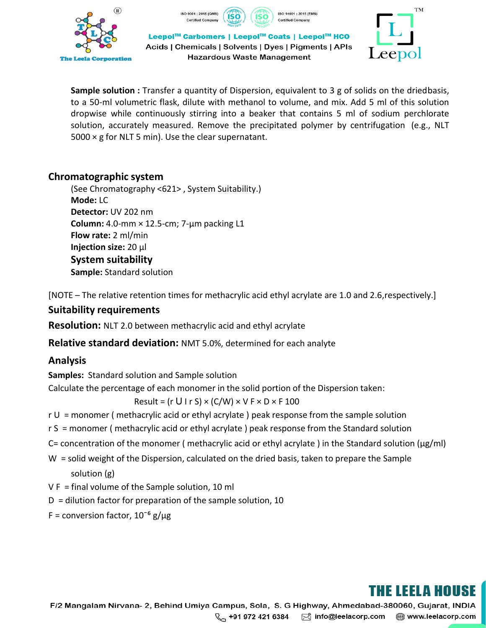







**Sample solution :** Transfer a quantity of Dispersion, equivalent to 3 g of solids on the driedbasis, to a 50-ml volumetric flask, dilute with methanol to volume, and mix. Add 5 ml of this solution dropwise while continuously stirring into a beaker that contains 5 ml of sodium perchlorate solution, accurately measured. Remove the precipitated polymer by centrifugation (e.g., NLT  $5000 \times g$  for NLT 5 min). Use the clear supernatant.

#### **Chromatographic system**

(See Chromatography <621> , System Suitability.) **Mode:** LC **Detector:** UV 202 nm **Column:** 4.0-mm × 12.5-cm; 7-µm packing L1 **Flow rate:** 2 ml/min **Injection size:** 20 µl **System suitability Sample:** Standard solution

[NOTE – The relative retention times for methacrylic acid ethyl acrylate are 1.0 and 2.6,respectively.]

#### **Suitability requirements**

**Resolution:** NLT 2.0 between methacrylic acid and ethyl acrylate

**Relative standard deviation:** NMT 5.0%, determined for each analyte

### **Analysis**

**Samples:** Standard solution and Sample solution

Calculate the percentage of each monomer in the solid portion of the Dispersion taken:

Result = (r U I r S)  $\times$  (C/W)  $\times$  V F  $\times$  D  $\times$  F 100

- r U = monomer ( methacrylic acid or ethyl acrylate ) peak response from the sample solution
- r S = monomer ( methacrylic acid or ethyl acrylate ) peak response from the Standard solution
- C= concentration of the monomer ( methacrylic acid or ethyl acrylate) in the Standard solution ( $\mu$ g/ml)
- W = solid weight of the Dispersion, calculated on the dried basis, taken to prepare the Sample solution (g)
- V F = final volume of the Sample solution, 10 ml
- $D =$  dilution factor for preparation of the sample solution, 10
- F = conversion factor,  $10^{-6}$  g/ $\mu$ g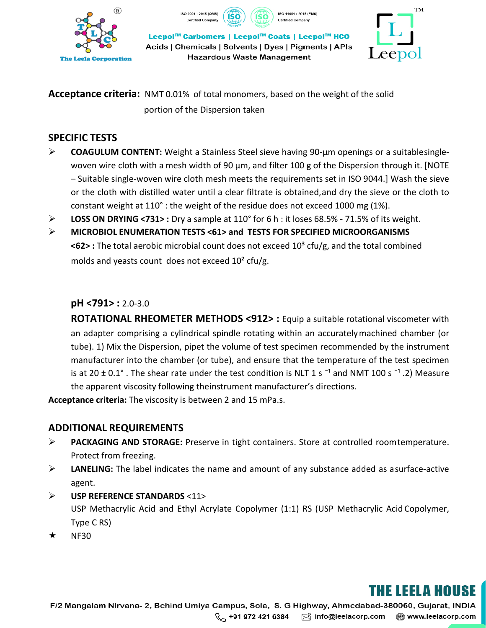







Leepol<sup>™</sup> Carbomers | Leepol<sup>™</sup> Coats | Leepol™ HCO Acids | Chemicals | Solvents | Dyes | Pigments | APIs Hazardous Waste Management

**Acceptance criteria:** NMT 0.01% of total monomers, based on the weight of the solid portion of the Dispersion taken

### **SPECIFIC TESTS**

- **COAGULUM CONTENT:** Weight a Stainless Steel sieve having 90-µm openings or a suitablesinglewoven wire cloth with a mesh width of 90  $\mu$ m, and filter 100 g of the Dispersion through it. [NOTE – Suitable single-woven wire cloth mesh meets the requirements set in ISO 9044.] Wash the sieve or the cloth with distilled water until a clear filtrate is obtained,and dry the sieve or the cloth to constant weight at 110° : the weight of the residue does not exceed 1000 mg (1%).
- **LOSS ON DRYING <731> :** Dry a sample at 110° for 6 h : it loses 68.5% 71.5% of its weight.
- **MICROBIOL ENUMERATION TESTS <61> and TESTS FOR SPECIFIED MICROORGANISMS <62> :** The total aerobic microbial count does not exceed 10³ cfu/g, and the total combined molds and yeasts count does not exceed 10² cfu/g.

#### **pH <791> :** 2.0-3.0

**ROTATIONAL RHEOMETER METHODS <912> :** Equip a suitable rotational viscometer with an adapter comprising a cylindrical spindle rotating within an accuratelymachined chamber (or tube). 1) Mix the Dispersion, pipet the volume of test specimen recommended by the instrument manufacturer into the chamber (or tube), and ensure that the temperature of the test specimen is at 20  $\pm$  0.1°. The shear rate under the test condition is NLT 1 s<sup>-1</sup> and NMT 100 s<sup>-1</sup>.2) Measure the apparent viscosity following theinstrument manufacturer's directions.

**Acceptance criteria:** The viscosity is between 2 and 15 mPa.s.

### **ADDITIONAL REQUIREMENTS**

- **PACKAGING AND STORAGE:** Preserve in tight containers. Store at controlled roomtemperature. Protect from freezing.
- **LANELING:** The label indicates the name and amount of any substance added as asurface-active agent.
- **USP REFERENCE STANDARDS** <11> USP Methacrylic Acid and Ethyl Acrylate Copolymer (1:1) RS (USP Methacrylic Acid Copolymer, Type C RS)
- $\star$  NF30